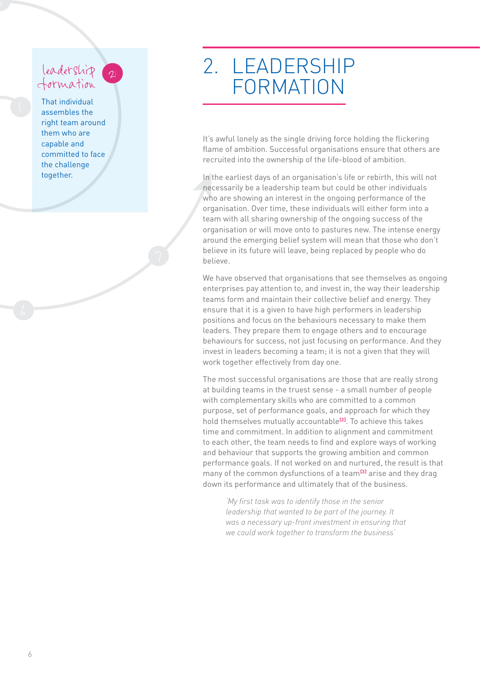## leadership 2

That individual assembles the right team around them who are capable and committed to face the challenge together.

## 2. LEADERSHIP FORMATION

It's awful lonely as the single driving force holding the flickering flame of ambition. Successful organisations ensure that others are recruited into the ownership of the life-blood of ambition.

In the earliest days of an organisation's life or rebirth, this will not necessarily be a leadership team but could be other individuals who are showing an interest in the ongoing performance of the organisation. Over time, these individuals will either form into a team with all sharing ownership of the ongoing success of the organisation or will move onto to pastures new. The intense energy around the emerging belief system will mean that those who don't believe in its future will leave, being replaced by people who do believe.

We have observed that organisations that see themselves as ongoing enterprises pay attention to, and invest in, the way their leadership teams form and maintain their collective belief and energy. They ensure that it is a given to have high performers in leadership positions and focus on the behaviours necessary to make them leaders. They prepare them to engage others and to encourage behaviours for success, not just focusing on performance. And they invest in leaders becoming a team; it is not a given that they will work together effectively from day one.

The most successful organisations are those that are really strong at building teams in the truest sense - a small number of people with complementary skills who are committed to a common purpose, set of performance goals, and approach for which they hold themselves mutually accountable<sup>[2]</sup>. To achieve this takes time and commitment. In addition to alignment and commitment to each other, the team needs to find and explore ways of working and behaviour that supports the growing ambition and common performance goals. If not worked on and nurtured, the result is that many of the common dysfunctions of a team<sup>[3]</sup> arise and they drag down its performance and ultimately that of the business.

'My first task was to identify those in the senior *leadership that wanted to be part of the journey. It was a necessary up-front investment in ensuring that we could work together to transform the business'*